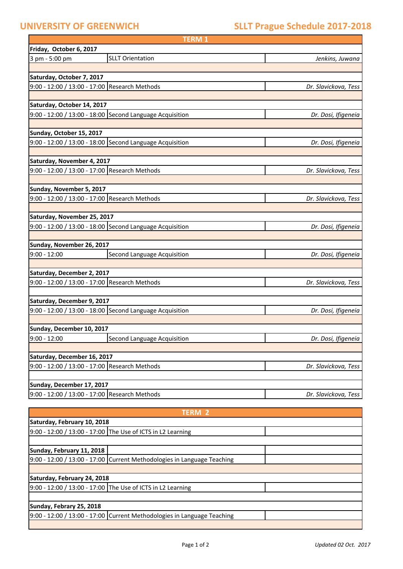f

# **UNIVERSITY OF GREENWICH SLLT Prague Schedule 2017-2018**

|                                               | <b>TERM1</b>                                             |                      |
|-----------------------------------------------|----------------------------------------------------------|----------------------|
| Friday, October 6, 2017                       |                                                          |                      |
| 3 pm - 5:00 pm                                | <b>SLLT Orientation</b>                                  | Jenkins, Juwana      |
|                                               |                                                          |                      |
| Saturday, October 7, 2017                     |                                                          |                      |
| 9:00 - 12:00 / 13:00 - 17:00 Research Methods |                                                          | Dr. Slavickova, Tess |
|                                               |                                                          |                      |
| Saturday, October 14, 2017                    |                                                          |                      |
|                                               | 9:00 - 12:00 / 13:00 - 18:00 Second Language Acquisition | Dr. Dosi, Ifigeneia  |
|                                               |                                                          |                      |
| Sunday, October 15, 2017                      |                                                          |                      |
|                                               | 9:00 - 12:00 / 13:00 - 18:00 Second Language Acquisition | Dr. Dosi, Ifigeneia  |
|                                               |                                                          |                      |
| Saturday, November 4, 2017                    |                                                          |                      |
| 9:00 - 12:00 / 13:00 - 17:00 Research Methods |                                                          | Dr. Slavickova, Tess |
|                                               |                                                          |                      |
| Sunday, November 5, 2017                      |                                                          |                      |
| 9:00 - 12:00 / 13:00 - 17:00 Research Methods |                                                          | Dr. Slavickova, Tess |
|                                               |                                                          |                      |
| Saturday, November 25, 2017                   | 9:00 - 12:00 / 13:00 - 18:00 Second Language Acquisition |                      |
|                                               |                                                          | Dr. Dosi, Ifigeneia  |
| Sunday, November 26, 2017                     |                                                          |                      |
| $9:00 - 12:00$                                | Second Language Acquisition                              | Dr. Dosi, Ifigeneia  |
|                                               |                                                          |                      |
| Saturday, December 2, 2017                    |                                                          |                      |
| 9:00 - 12:00 / 13:00 - 17:00 Research Methods |                                                          | Dr. Slavickova, Tess |
|                                               |                                                          |                      |
| Saturday, December 9, 2017                    |                                                          |                      |
|                                               | 9:00 - 12:00 / 13:00 - 18:00 Second Language Acquisition | Dr. Dosi, Ifigeneia  |
|                                               |                                                          |                      |
| Sunday, December 10, 2017                     |                                                          |                      |
| $9:00 - 12:00$                                | Second Language Acquisition                              | Dr. Dosi, Ifigeneia  |
|                                               |                                                          |                      |
| Saturday, December 16, 2017                   |                                                          |                      |
| 9:00 - 12:00 / 13:00 - 17:00 Research Methods |                                                          | Dr. Slavickova, Tess |
|                                               |                                                          |                      |
| Sunday, December 17, 2017                     |                                                          |                      |
| 9:00 - 12:00 / 13:00 - 17:00 Research Methods |                                                          | Dr. Slavickova, Tess |
|                                               |                                                          |                      |

| <b>TFRM 2</b>               |                                                                         |  |  |  |
|-----------------------------|-------------------------------------------------------------------------|--|--|--|
| Saturday, February 10, 2018 |                                                                         |  |  |  |
|                             | 9:00 - 12:00 / 13:00 - 17:00 The Use of ICTS in L2 Learning             |  |  |  |
|                             |                                                                         |  |  |  |
| Sunday, February 11, 2018   |                                                                         |  |  |  |
|                             | 9:00 - 12:00 / 13:00 - 17:00 Current Methodologies in Language Teaching |  |  |  |
|                             |                                                                         |  |  |  |
| Saturday, February 24, 2018 |                                                                         |  |  |  |
|                             | 9:00 - 12:00 / 13:00 - 17:00 The Use of ICTS in L2 Learning             |  |  |  |
|                             |                                                                         |  |  |  |
| Sunday, Febrary 25, 2018    |                                                                         |  |  |  |
|                             | 9:00 - 12:00 / 13:00 - 17:00 Current Methodologies in Language Teaching |  |  |  |
|                             |                                                                         |  |  |  |

ī